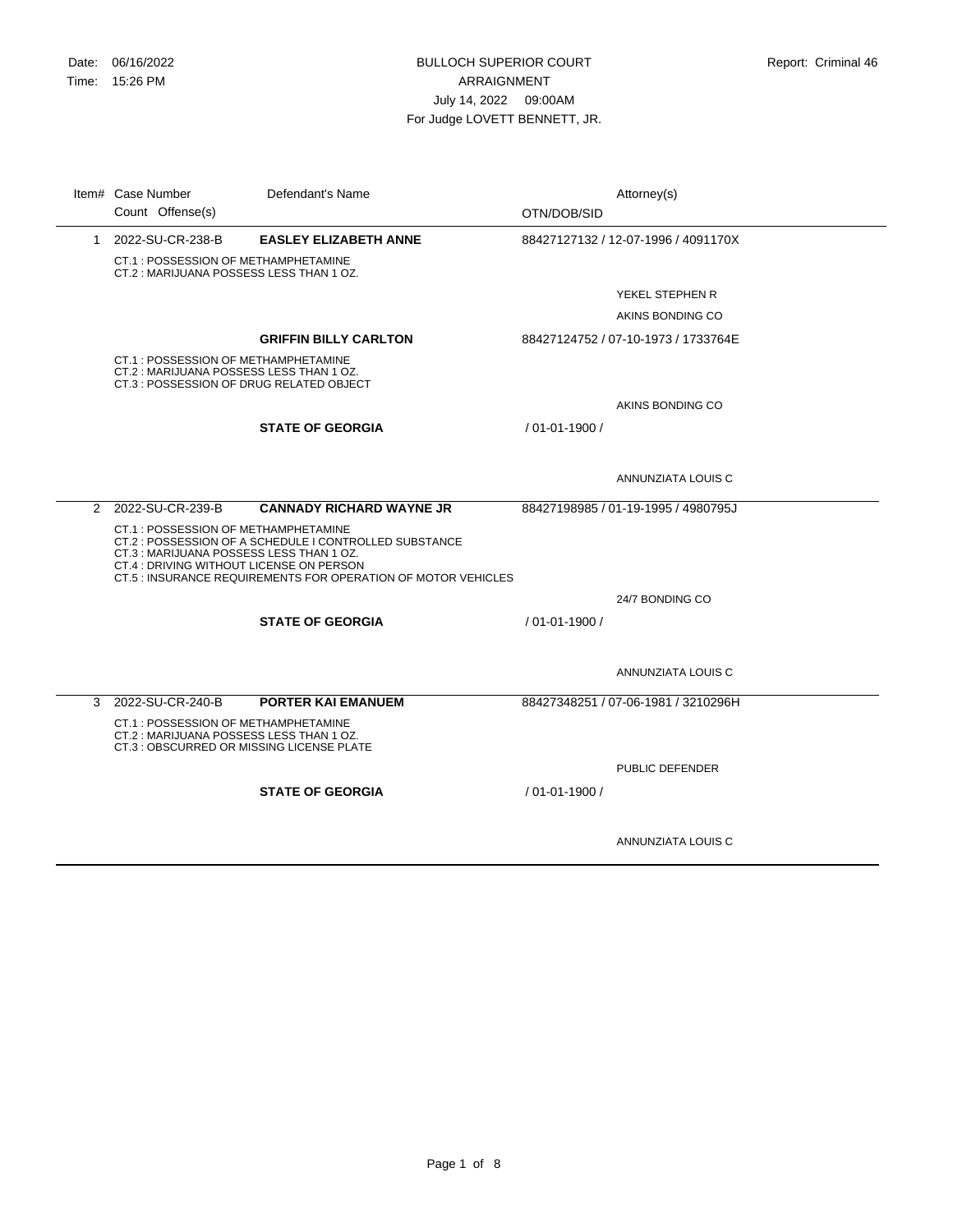÷,

|   | Item# Case Number<br>Count Offense(s)                                                                                       | Defendant's Name                                                                                                        | OTN/DOB/SID    | Attorney(s)                         |
|---|-----------------------------------------------------------------------------------------------------------------------------|-------------------------------------------------------------------------------------------------------------------------|----------------|-------------------------------------|
| 1 | 2022-SU-CR-238-B                                                                                                            | <b>EASLEY ELIZABETH ANNE</b>                                                                                            |                | 88427127132 / 12-07-1996 / 4091170X |
|   | CT.1: POSSESSION OF METHAMPHETAMINE<br>CT.2: MARIJUANA POSSESS LESS THAN 1 OZ.                                              |                                                                                                                         |                |                                     |
|   |                                                                                                                             |                                                                                                                         |                | YEKEL STEPHEN R                     |
|   |                                                                                                                             |                                                                                                                         |                | AKINS BONDING CO                    |
|   |                                                                                                                             | <b>GRIFFIN BILLY CARLTON</b>                                                                                            |                | 88427124752 / 07-10-1973 / 1733764E |
|   | CT.1: POSSESSION OF METHAMPHETAMINE<br>CT.2: MARIJUANA POSSESS LESS THAN 1 OZ.<br>CT.3 : POSSESSION OF DRUG RELATED OBJECT  |                                                                                                                         |                |                                     |
|   |                                                                                                                             |                                                                                                                         |                | AKINS BONDING CO                    |
|   |                                                                                                                             | <b>STATE OF GEORGIA</b>                                                                                                 | / 01-01-1900 / |                                     |
|   |                                                                                                                             |                                                                                                                         |                |                                     |
|   |                                                                                                                             |                                                                                                                         |                | ANNUNZIATA LOUIS C                  |
|   | 2 2022-SU-CR-239-B                                                                                                          | <b>CANNADY RICHARD WAYNE JR</b>                                                                                         |                | 88427198985 / 01-19-1995 / 4980795J |
|   | CT.1: POSSESSION OF METHAMPHETAMINE<br>CT.3: MARIJUANA POSSESS LESS THAN 1 OZ.<br>CT.4 : DRIVING WITHOUT LICENSE ON PERSON  | CT.2 : POSSESSION OF A SCHEDULE I CONTROLLED SUBSTANCE<br>CT.5 : INSURANCE REQUIREMENTS FOR OPERATION OF MOTOR VEHICLES |                |                                     |
|   |                                                                                                                             |                                                                                                                         |                | 24/7 BONDING CO                     |
|   |                                                                                                                             | <b>STATE OF GEORGIA</b>                                                                                                 | / 01-01-1900 / |                                     |
|   |                                                                                                                             |                                                                                                                         |                |                                     |
|   |                                                                                                                             |                                                                                                                         |                | ANNUNZIATA LOUIS C                  |
| 3 | 2022-SU-CR-240-B                                                                                                            | <b>PORTER KAI EMANUEM</b>                                                                                               |                | 88427348251 / 07-06-1981 / 3210296H |
|   | CT.1: POSSESSION OF METHAMPHETAMINE<br>CT.2: MARIJUANA POSSESS LESS THAN 1 OZ.<br>CT.3 : OBSCURRED OR MISSING LICENSE PLATE |                                                                                                                         |                |                                     |
|   |                                                                                                                             |                                                                                                                         |                | PUBLIC DEFENDER                     |
|   |                                                                                                                             | <b>STATE OF GEORGIA</b>                                                                                                 | / 01-01-1900 / |                                     |
|   |                                                                                                                             |                                                                                                                         |                | ANNUNZIATA LOUIS C                  |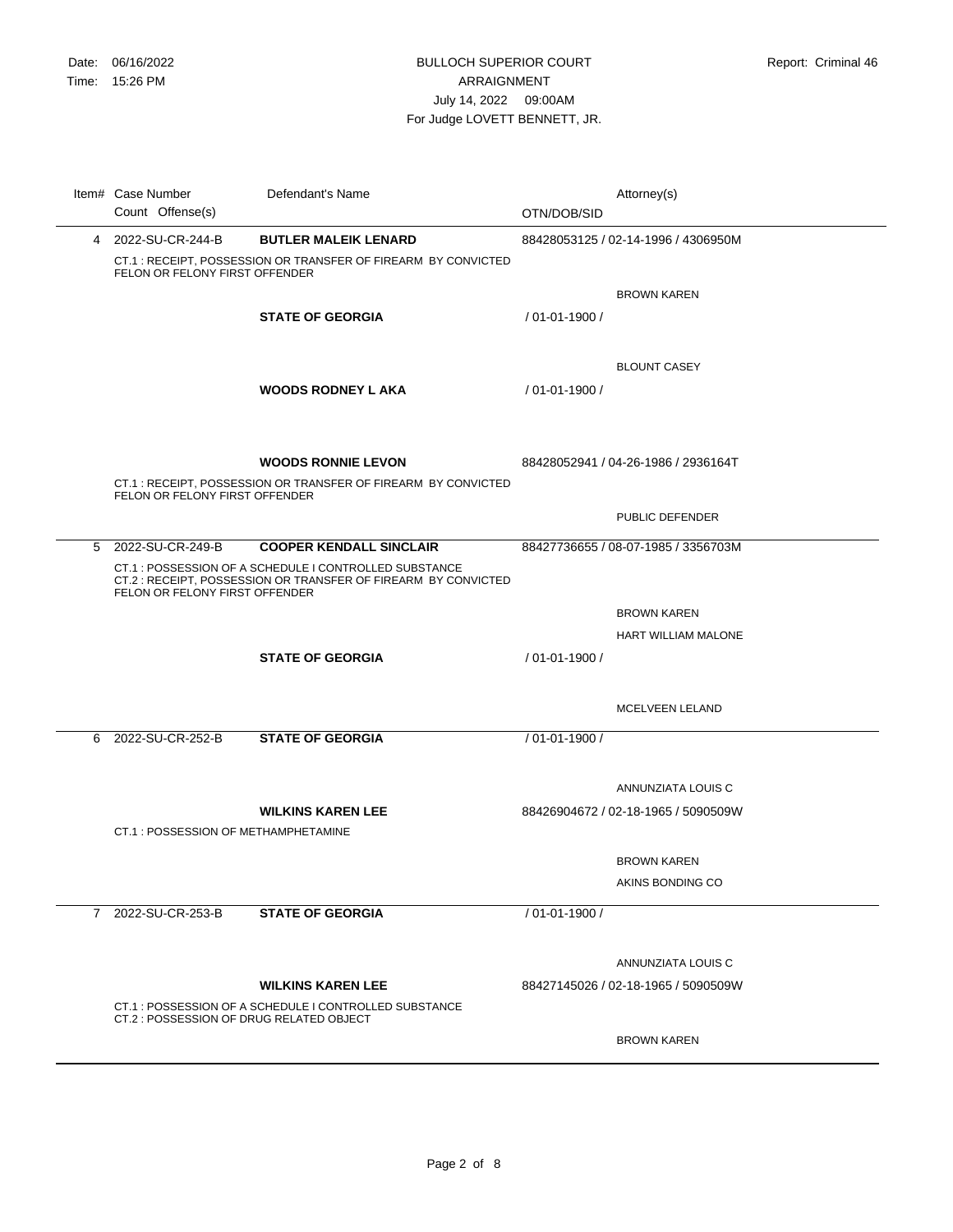|   | Item# Case Number<br>Count Offense(s)                | Defendant's Name                                                                                                                                          | OTN/DOB/SID        | Attorney(s)                                               |
|---|------------------------------------------------------|-----------------------------------------------------------------------------------------------------------------------------------------------------------|--------------------|-----------------------------------------------------------|
|   | 4 2022-SU-CR-244-B<br>FELON OR FELONY FIRST OFFENDER | <b>BUTLER MALEIK LENARD</b><br>CT.1: RECEIPT, POSSESSION OR TRANSFER OF FIREARM BY CONVICTED                                                              |                    | 88428053125 / 02-14-1996 / 4306950M                       |
|   |                                                      | <b>STATE OF GEORGIA</b>                                                                                                                                   | / 01-01-1900 /     | <b>BROWN KAREN</b>                                        |
|   |                                                      | <b>WOODS RODNEY L AKA</b>                                                                                                                                 | $/01 - 01 - 1900/$ | <b>BLOUNT CASEY</b>                                       |
|   | FELON OR FELONY FIRST OFFENDER                       | <b>WOODS RONNIE LEVON</b><br>CT.1: RECEIPT, POSSESSION OR TRANSFER OF FIREARM BY CONVICTED                                                                |                    | 88428052941 / 04-26-1986 / 2936164T                       |
|   |                                                      |                                                                                                                                                           |                    | PUBLIC DEFENDER                                           |
|   | 5 2022-SU-CR-249-B<br>FELON OR FELONY FIRST OFFENDER | <b>COOPER KENDALL SINCLAIR</b><br>CT.1 : POSSESSION OF A SCHEDULE I CONTROLLED SUBSTANCE<br>CT.2: RECEIPT. POSSESSION OR TRANSFER OF FIREARM BY CONVICTED |                    | 88427736655 / 08-07-1985 / 3356703M                       |
|   |                                                      |                                                                                                                                                           |                    | <b>BROWN KAREN</b><br>HART WILLIAM MALONE                 |
|   |                                                      | <b>STATE OF GEORGIA</b>                                                                                                                                   | / 01-01-1900 /     | MCELVEEN LELAND                                           |
| 6 | 2022-SU-CR-252-B                                     | <b>STATE OF GEORGIA</b>                                                                                                                                   | / 01-01-1900 /     |                                                           |
|   |                                                      | <b>WILKINS KAREN LEE</b>                                                                                                                                  |                    | ANNUNZIATA LOUIS C<br>88426904672 / 02-18-1965 / 5090509W |
|   | CT.1 : POSSESSION OF METHAMPHETAMINE                 |                                                                                                                                                           |                    |                                                           |
|   |                                                      |                                                                                                                                                           |                    | <b>BROWN KAREN</b><br>AKINS BONDING CO                    |
|   | 7 2022-SU-CR-253-B                                   | <b>STATE OF GEORGIA</b>                                                                                                                                   | / 01-01-1900 /     |                                                           |
|   |                                                      | <b>WILKINS KAREN LEE</b>                                                                                                                                  |                    | ANNUNZIATA LOUIS C<br>88427145026 / 02-18-1965 / 5090509W |
|   | CT.2 : POSSESSION OF DRUG RELATED OBJECT             | CT.1: POSSESSION OF A SCHEDULE I CONTROLLED SUBSTANCE                                                                                                     |                    | <b>BROWN KAREN</b>                                        |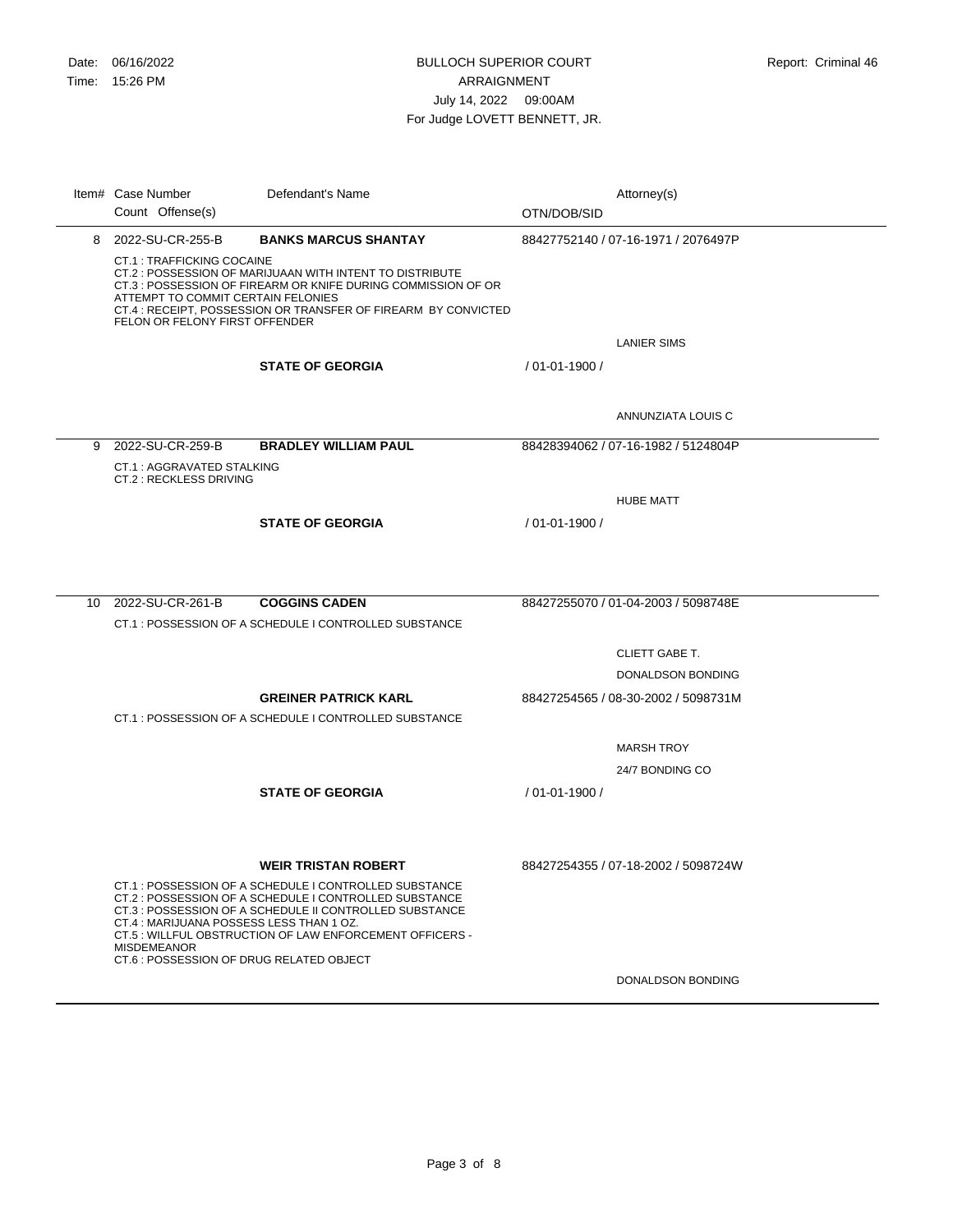CT.1 : TRAFFICKING COCAINE CT.2 : POSSESSION OF MARIJUAAN WITH INTENT TO DISTRIBUTE CT.3 : POSSESSION OF FIREARM OR KNIFE DURING COMMISSION OF OR ATTEMPT TO COMMIT CERTAIN FELONIES CT.4 : RECEIPT, POSSESSION OR TRANSFER OF FIREARM BY CONVICTED FELON OR FELONY FIRST OFFENDER 8 2022-SU-CR-255-B **BANKS MARCUS SHANTAY** LANIER SIMS 88427752140 / 07-16-1971 / 2076497P **STATE OF GEORGIA** ANNUNZIATA LOUIS C / 01-01-1900 / CT.1 : AGGRAVATED STALKING CT.2 : RECKLESS DRIVING 9 2022-SU-CR-259-B **BRADLEY WILLIAM PAUL** HUBE MATT 88428394062 / 07-16-1982 / 5124804P **STATE OF GEORGIA** / 01-01-1900 / CT.1 : POSSESSION OF A SCHEDULE I CONTROLLED SUBSTANCE 10 2022-SU-CR-261-B **COGGINS CADEN** CLIETT GABE T. DONALDSON BONDING 88427255070 / 01-04-2003 / 5098748E CT.1 : POSSESSION OF A SCHEDULE I CONTROLLED SUBSTANCE **GREINER PATRICK KARL** MARSH TROY 24/7 BONDING CO 88427254565 / 08-30-2002 / 5098731M **STATE OF GEORGIA** / 01-01-1900 / CT.1 : POSSESSION OF A SCHEDULE I CONTROLLED SUBSTANCE CT.2 : POSSESSION OF A SCHEDULE I CONTROLLED SUBSTANCE CT.3 : POSSESSION OF A SCHEDULE II CONTROLLED SUBSTANCE CT.4 : MARIJUANA POSSESS LESS THAN 1 OZ. CT.5 : WILLFUL OBSTRUCTION OF LAW ENFORCEMENT OFFICERS - MISDEMEANOR **WEIR TRISTAN ROBERT** 88427254355 / 07-18-2002 / 5098724W Item# Case Number Defendant's Name **Interval and Attorney(s)** Attorney(s) Count Offense(s) Defendant's Name OTN/DOB/SID

DONALDSON BONDING

CT.6 : POSSESSION OF DRUG RELATED OBJECT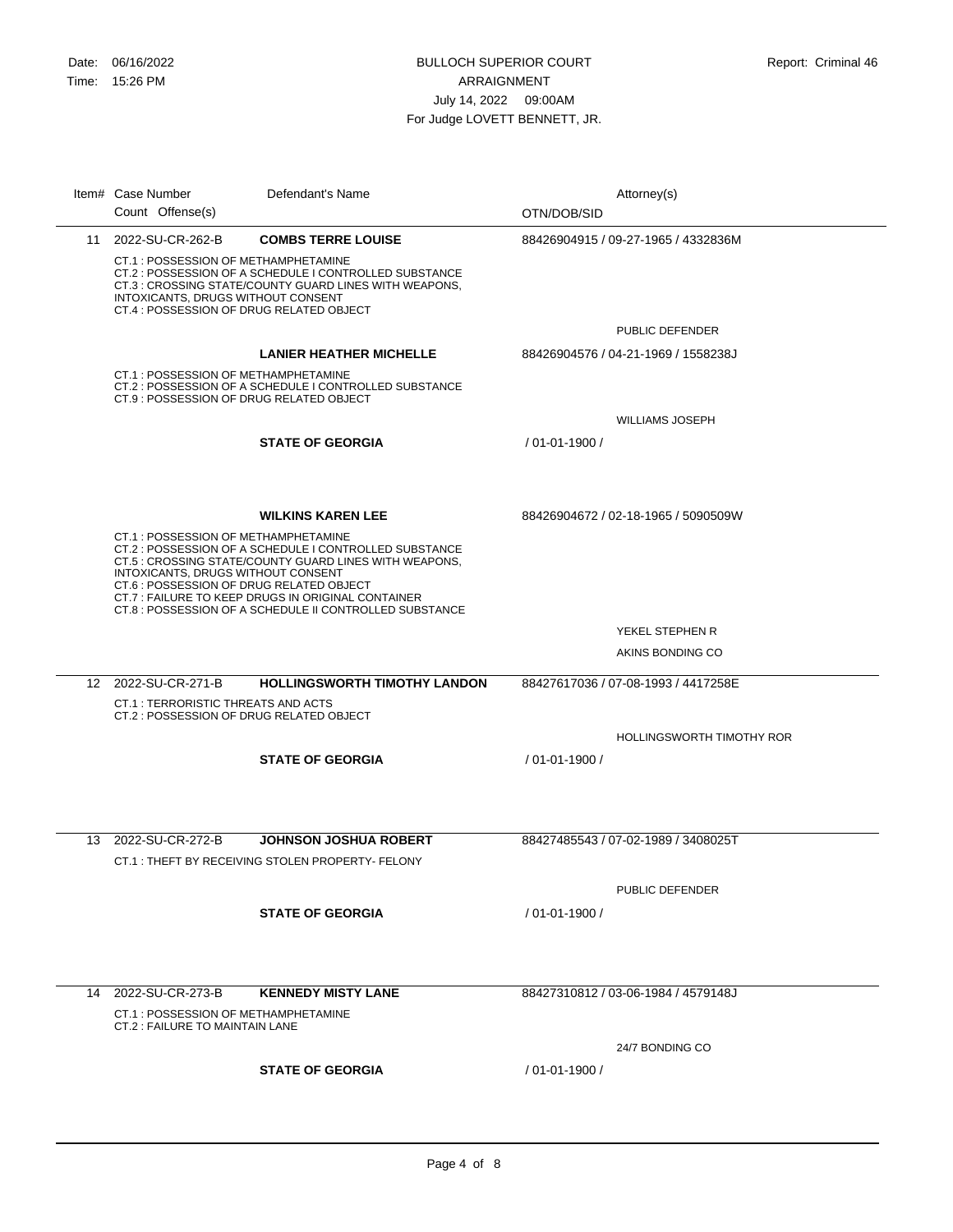|    | Item# Case Number<br>Count Offense(s)                                                                                  | Defendant's Name                                                                                                                                                                                                                                             | Attorney(s)<br>OTN/DOB/SID                                       |  |
|----|------------------------------------------------------------------------------------------------------------------------|--------------------------------------------------------------------------------------------------------------------------------------------------------------------------------------------------------------------------------------------------------------|------------------------------------------------------------------|--|
|    | 11 2022-SU-CR-262-B                                                                                                    | <b>COMBS TERRE LOUISE</b>                                                                                                                                                                                                                                    | 88426904915 / 09-27-1965 / 4332836M                              |  |
|    | CT.1: POSSESSION OF METHAMPHETAMINE<br>INTOXICANTS, DRUGS WITHOUT CONSENT<br>CT.4 : POSSESSION OF DRUG RELATED OBJECT  | CT.2 : POSSESSION OF A SCHEDULE I CONTROLLED SUBSTANCE<br>CT.3 : CROSSING STATE/COUNTY GUARD LINES WITH WEAPONS,                                                                                                                                             | <b>PUBLIC DEFENDER</b>                                           |  |
|    |                                                                                                                        | <b>LANIER HEATHER MICHELLE</b>                                                                                                                                                                                                                               | 88426904576 / 04-21-1969 / 1558238J                              |  |
|    | CT.1 : POSSESSION OF METHAMPHETAMINE<br>CT.9: POSSESSION OF DRUG RELATED OBJECT                                        | CT.2: POSSESSION OF A SCHEDULE I CONTROLLED SUBSTANCE                                                                                                                                                                                                        |                                                                  |  |
|    |                                                                                                                        |                                                                                                                                                                                                                                                              | <b>WILLIAMS JOSEPH</b>                                           |  |
|    |                                                                                                                        | <b>STATE OF GEORGIA</b>                                                                                                                                                                                                                                      | $/01 - 01 - 1900/$                                               |  |
|    | CT.1 : POSSESSION OF METHAMPHETAMINE<br>INTOXICANTS, DRUGS WITHOUT CONSENT<br>CT.6 : POSSESSION OF DRUG RELATED OBJECT | <b>WILKINS KAREN LEE</b><br>CT.2 : POSSESSION OF A SCHEDULE I CONTROLLED SUBSTANCE<br>CT.5 : CROSSING STATE/COUNTY GUARD LINES WITH WEAPONS,<br>CT.7: FAILURE TO KEEP DRUGS IN ORIGINAL CONTAINER<br>CT.8 : POSSESSION OF A SCHEDULE II CONTROLLED SUBSTANCE | 88426904672 / 02-18-1965 / 5090509W                              |  |
|    |                                                                                                                        |                                                                                                                                                                                                                                                              | YEKEL STEPHEN R                                                  |  |
|    |                                                                                                                        |                                                                                                                                                                                                                                                              | AKINS BONDING CO                                                 |  |
|    | 12 2022-SU-CR-271-B<br>CT.1 : TERRORISTIC THREATS AND ACTS<br>CT.2 : POSSESSION OF DRUG RELATED OBJECT                 | <b>HOLLINGSWORTH TIMOTHY LANDON</b>                                                                                                                                                                                                                          | 88427617036 / 07-08-1993 / 4417258E<br>HOLLINGSWORTH TIMOTHY ROR |  |
|    |                                                                                                                        | <b>STATE OF GEORGIA</b>                                                                                                                                                                                                                                      | / 01-01-1900 /                                                   |  |
|    |                                                                                                                        |                                                                                                                                                                                                                                                              |                                                                  |  |
|    | 13 2022-SU-CR-272-B                                                                                                    | <b>JOHNSON JOSHUA ROBERT</b><br>CT.1: THEFT BY RECEIVING STOLEN PROPERTY- FELONY                                                                                                                                                                             | 88427485543 / 07-02-1989 / 3408025T                              |  |
|    |                                                                                                                        |                                                                                                                                                                                                                                                              |                                                                  |  |
|    |                                                                                                                        | <b>STATE OF GEORGIA</b>                                                                                                                                                                                                                                      | PUBLIC DEFENDER<br>$/01 - 01 - 1900/$                            |  |
|    |                                                                                                                        |                                                                                                                                                                                                                                                              |                                                                  |  |
| 14 | 2022-SU-CR-273-B<br>CT.1 : POSSESSION OF METHAMPHETAMINE<br>CT.2 : FAILURE TO MAINTAIN LANE                            | <b>KENNEDY MISTY LANE</b>                                                                                                                                                                                                                                    | 88427310812 / 03-06-1984 / 4579148J                              |  |
|    |                                                                                                                        |                                                                                                                                                                                                                                                              | 24/7 BONDING CO                                                  |  |

**STATE OF GEORGIA** / 01-01-1900 /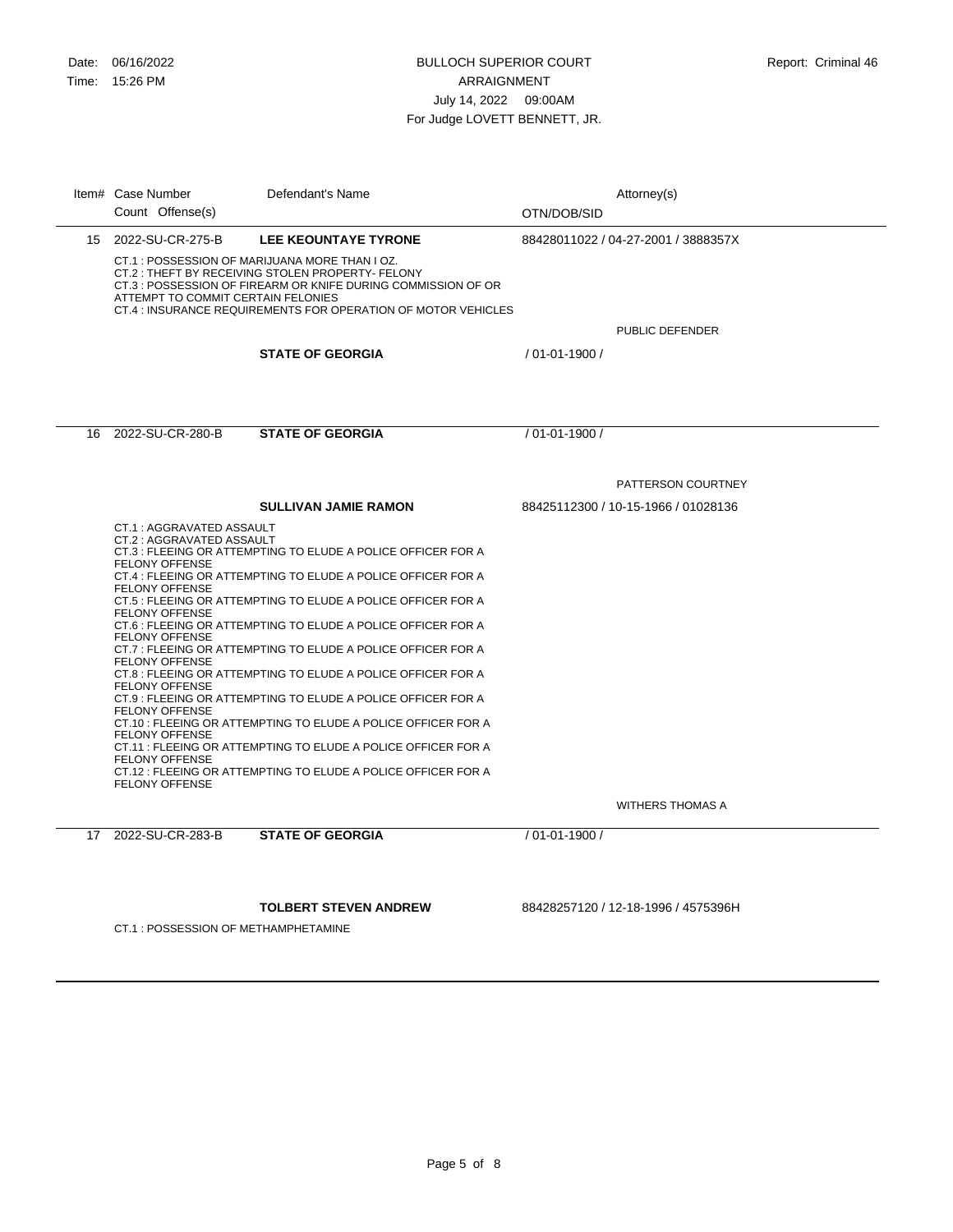|    | Item# Case Number<br>Count Offense(s)                                                                                                                                                                                                                                     | Defendant's Name                                              | OTN/DOB/SID        | Attorney(s)                         |
|----|---------------------------------------------------------------------------------------------------------------------------------------------------------------------------------------------------------------------------------------------------------------------------|---------------------------------------------------------------|--------------------|-------------------------------------|
|    | 15 2022-SU-CR-275-B                                                                                                                                                                                                                                                       | LEE KEOUNTAYE TYRONE                                          |                    | 88428011022 / 04-27-2001 / 3888357X |
|    | CT.1: POSSESSION OF MARIJUANA MORE THAN I OZ.<br>CT.2: THEFT BY RECEIVING STOLEN PROPERTY- FELONY<br>CT.3 : POSSESSION OF FIREARM OR KNIFE DURING COMMISSION OF OR<br>ATTEMPT TO COMMIT CERTAIN FELONIES<br>CT.4 : INSURANCE REQUIREMENTS FOR OPERATION OF MOTOR VEHICLES |                                                               |                    | PUBLIC DEFENDER                     |
|    |                                                                                                                                                                                                                                                                           | <b>STATE OF GEORGIA</b>                                       | / 01-01-1900 /     |                                     |
|    |                                                                                                                                                                                                                                                                           |                                                               |                    |                                     |
|    |                                                                                                                                                                                                                                                                           |                                                               |                    |                                     |
|    | 16 2022-SU-CR-280-B                                                                                                                                                                                                                                                       | <b>STATE OF GEORGIA</b>                                       | / 01-01-1900 /     |                                     |
|    |                                                                                                                                                                                                                                                                           |                                                               |                    | PATTERSON COURTNEY                  |
|    |                                                                                                                                                                                                                                                                           | <b>SULLIVAN JAMIE RAMON</b>                                   |                    | 88425112300 / 10-15-1966 / 01028136 |
|    | CT.1: AGGRAVATED ASSAULT                                                                                                                                                                                                                                                  |                                                               |                    |                                     |
|    | CT.2 : AGGRAVATED ASSAULT                                                                                                                                                                                                                                                 | CT.3 : FLEEING OR ATTEMPTING TO ELUDE A POLICE OFFICER FOR A  |                    |                                     |
|    | <b>FELONY OFFENSE</b>                                                                                                                                                                                                                                                     | CT.4 : FLEEING OR ATTEMPTING TO ELUDE A POLICE OFFICER FOR A  |                    |                                     |
|    | <b>FELONY OFFENSE</b>                                                                                                                                                                                                                                                     | CT.5 : FLEEING OR ATTEMPTING TO ELUDE A POLICE OFFICER FOR A  |                    |                                     |
|    | <b>FELONY OFFENSE</b>                                                                                                                                                                                                                                                     | CT.6 : FLEEING OR ATTEMPTING TO ELUDE A POLICE OFFICER FOR A  |                    |                                     |
|    | <b>FELONY OFFENSE</b>                                                                                                                                                                                                                                                     |                                                               |                    |                                     |
|    | CT.7 : FLEEING OR ATTEMPTING TO ELUDE A POLICE OFFICER FOR A<br><b>FELONY OFFENSE</b>                                                                                                                                                                                     |                                                               |                    |                                     |
|    | <b>FELONY OFFENSE</b>                                                                                                                                                                                                                                                     | CT.8 : FLEEING OR ATTEMPTING TO ELUDE A POLICE OFFICER FOR A  |                    |                                     |
|    | <b>FELONY OFFENSE</b>                                                                                                                                                                                                                                                     | CT.9 : FLEEING OR ATTEMPTING TO ELUDE A POLICE OFFICER FOR A  |                    |                                     |
|    | <b>FELONY OFFENSE</b>                                                                                                                                                                                                                                                     | CT.10 : FLEEING OR ATTEMPTING TO ELUDE A POLICE OFFICER FOR A |                    |                                     |
|    |                                                                                                                                                                                                                                                                           | CT.11 : FLEEING OR ATTEMPTING TO ELUDE A POLICE OFFICER FOR A |                    |                                     |
|    | <b>FELONY OFFENSE</b><br><b>FELONY OFFENSE</b>                                                                                                                                                                                                                            | CT.12 : FLEEING OR ATTEMPTING TO ELUDE A POLICE OFFICER FOR A |                    |                                     |
|    |                                                                                                                                                                                                                                                                           |                                                               |                    | <b>WITHERS THOMAS A</b>             |
| 17 | 2022-SU-CR-283-B                                                                                                                                                                                                                                                          | <b>STATE OF GEORGIA</b>                                       | $/01 - 01 - 1900/$ |                                     |
|    |                                                                                                                                                                                                                                                                           |                                                               |                    |                                     |
|    |                                                                                                                                                                                                                                                                           | <b>TOLBERT STEVEN ANDREW</b>                                  |                    | 88428257120 / 12-18-1996 / 4575396H |
|    | CT.1 : POSSESSION OF METHAMPHETAMINE                                                                                                                                                                                                                                      |                                                               |                    |                                     |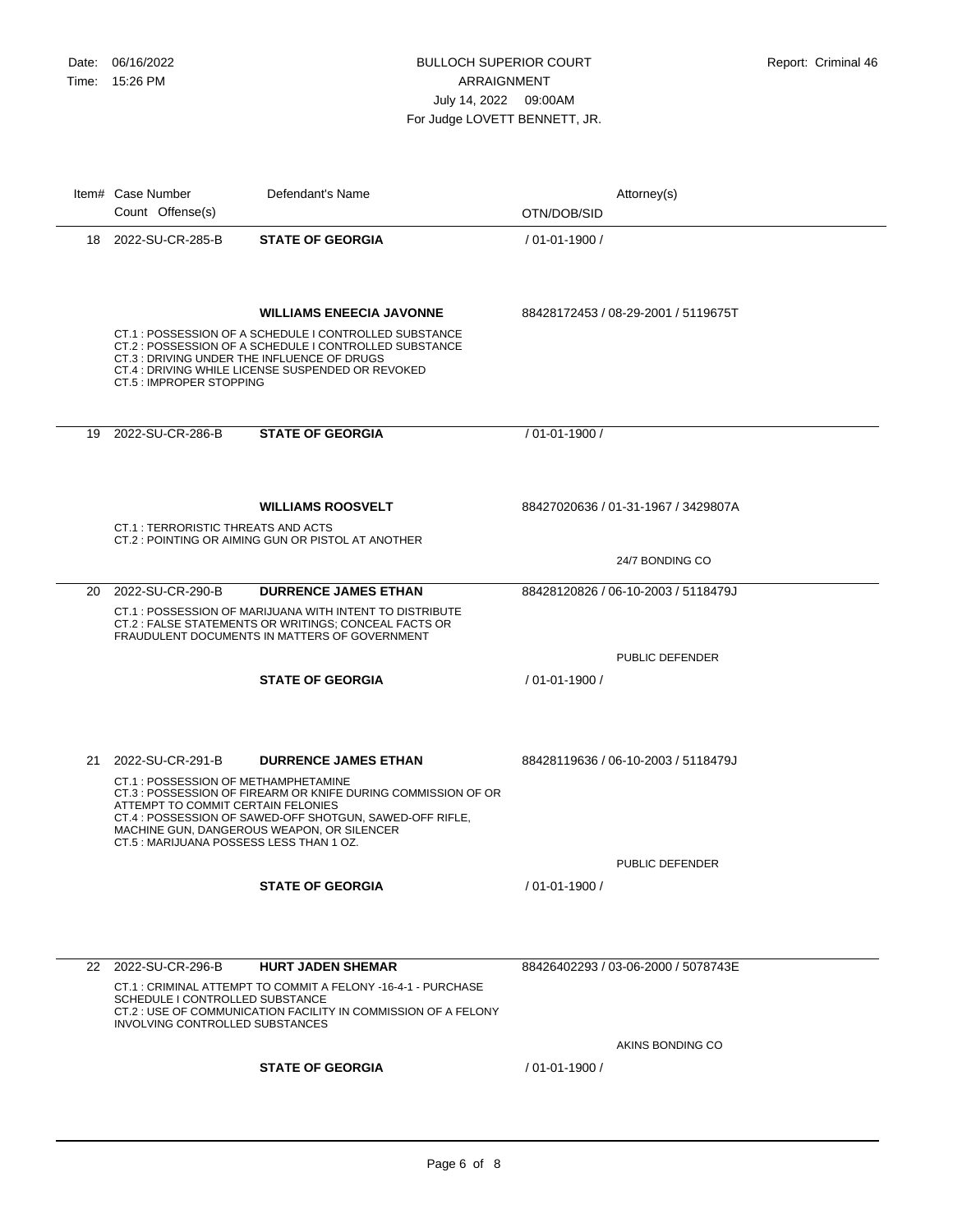|    | Item# Case Number<br>Count Offense(s)                                                                                | Defendant's Name                                                                                                                                                                                        | Attorney(s)<br>OTN/DOB/SID          |
|----|----------------------------------------------------------------------------------------------------------------------|---------------------------------------------------------------------------------------------------------------------------------------------------------------------------------------------------------|-------------------------------------|
|    | 18 2022-SU-CR-285-B                                                                                                  | <b>STATE OF GEORGIA</b>                                                                                                                                                                                 | / 01-01-1900 /                      |
|    | CT.3 : DRIVING UNDER THE INFLUENCE OF DRUGS<br>CT.5 : IMPROPER STOPPING                                              | <b>WILLIAMS ENEECIA JAVONNE</b><br>CT.1: POSSESSION OF A SCHEDULE I CONTROLLED SUBSTANCE<br>CT.2 : POSSESSION OF A SCHEDULE I CONTROLLED SUBSTANCE<br>CT.4 : DRIVING WHILE LICENSE SUSPENDED OR REVOKED | 88428172453 / 08-29-2001 / 5119675T |
|    | 19 2022-SU-CR-286-B                                                                                                  | <b>STATE OF GEORGIA</b>                                                                                                                                                                                 | / 01-01-1900 /                      |
|    | CT.1 : TERRORISTIC THREATS AND ACTS                                                                                  | <b>WILLIAMS ROOSVELT</b><br>CT.2: POINTING OR AIMING GUN OR PISTOL AT ANOTHER                                                                                                                           | 88427020636 / 01-31-1967 / 3429807A |
|    |                                                                                                                      |                                                                                                                                                                                                         | 24/7 BONDING CO                     |
|    | 20 2022-SU-CR-290-B                                                                                                  | <b>DURRENCE JAMES ETHAN</b><br>CT.1: POSSESSION OF MARIJUANA WITH INTENT TO DISTRIBUTE<br>CT.2 : FALSE STATEMENTS OR WRITINGS; CONCEAL FACTS OR<br>FRAUDULENT DOCUMENTS IN MATTERS OF GOVERNMENT        | 88428120826 / 06-10-2003 / 5118479J |
|    |                                                                                                                      |                                                                                                                                                                                                         | <b>PUBLIC DEFENDER</b>              |
|    |                                                                                                                      | <b>STATE OF GEORGIA</b>                                                                                                                                                                                 | / 01-01-1900 /                      |
| 21 | 2022-SU-CR-291-B                                                                                                     | <b>DURRENCE JAMES ETHAN</b>                                                                                                                                                                             | 88428119636 / 06-10-2003 / 5118479J |
|    | CT.1: POSSESSION OF METHAMPHETAMINE<br>ATTEMPT TO COMMIT CERTAIN FELONIES<br>CT.5: MARIJUANA POSSESS LESS THAN 1 OZ. | CT.3: POSSESSION OF FIREARM OR KNIFE DURING COMMISSION OF OR<br>CT.4 : POSSESSION OF SAWED-OFF SHOTGUN, SAWED-OFF RIFLE,<br>MACHINE GUN, DANGEROUS WEAPON, OR SILENCER                                  |                                     |
|    |                                                                                                                      | <b>STATE OF GEORGIA</b>                                                                                                                                                                                 | PUBLIC DEFENDER<br>/ 01-01-1900 /   |
|    |                                                                                                                      |                                                                                                                                                                                                         |                                     |
|    | 22 2022-SU-CR-296-B                                                                                                  | <b>HURT JADEN SHEMAR</b><br>CT.1: CRIMINAL ATTEMPT TO COMMIT A FELONY -16-4-1 - PURCHASE                                                                                                                | 88426402293 / 03-06-2000 / 5078743E |
|    | SCHEDULE I CONTROLLED SUBSTANCE<br>INVOLVING CONTROLLED SUBSTANCES                                                   | CT.2 : USE OF COMMUNICATION FACILITY IN COMMISSION OF A FELONY                                                                                                                                          | AKINS BONDING CO                    |
|    |                                                                                                                      | <b>STATE OF GEORGIA</b>                                                                                                                                                                                 | / 01-01-1900 /                      |
|    |                                                                                                                      |                                                                                                                                                                                                         |                                     |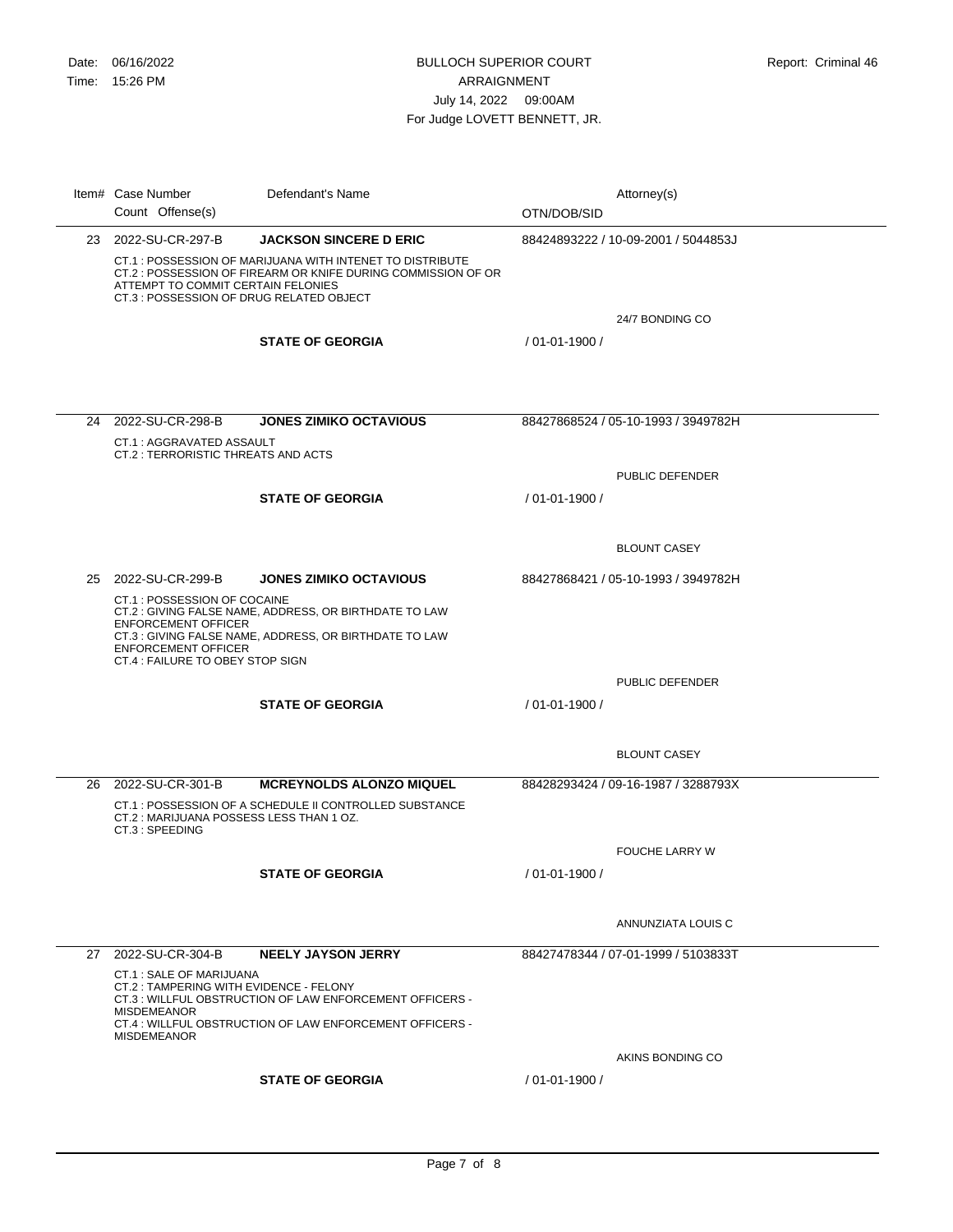| Item# Case Number<br>Count Offense(s)                                                                                                                                                                      | Defendant's Name                                                                                                 | OTN/DOB/SID    | Attorney(s)                         |
|------------------------------------------------------------------------------------------------------------------------------------------------------------------------------------------------------------|------------------------------------------------------------------------------------------------------------------|----------------|-------------------------------------|
| 23 2022-SU-CR-297-B                                                                                                                                                                                        | <b>JACKSON SINCERE D ERIC</b>                                                                                    |                | 88424893222 / 10-09-2001 / 5044853J |
| CT.1: POSSESSION OF MARIJUANA WITH INTENET TO DISTRIBUTE<br>CT.2: POSSESSION OF FIREARM OR KNIFE DURING COMMISSION OF OR<br>ATTEMPT TO COMMIT CERTAIN FELONIES<br>CT.3 : POSSESSION OF DRUG RELATED OBJECT |                                                                                                                  |                |                                     |
|                                                                                                                                                                                                            |                                                                                                                  |                | 24/7 BONDING CO                     |
|                                                                                                                                                                                                            | <b>STATE OF GEORGIA</b>                                                                                          | / 01-01-1900 / |                                     |
|                                                                                                                                                                                                            |                                                                                                                  |                |                                     |
| 24 2022-SU-CR-298-B                                                                                                                                                                                        | <b>JONES ZIMIKO OCTAVIOUS</b>                                                                                    |                | 88427868524 / 05-10-1993 / 3949782H |
| CT.1 : AGGRAVATED ASSAULT<br>CT.2 : TERRORISTIC THREATS AND ACTS                                                                                                                                           |                                                                                                                  |                |                                     |
|                                                                                                                                                                                                            |                                                                                                                  |                | PUBLIC DEFENDER                     |
|                                                                                                                                                                                                            | <b>STATE OF GEORGIA</b>                                                                                          | / 01-01-1900 / |                                     |
|                                                                                                                                                                                                            |                                                                                                                  |                |                                     |
|                                                                                                                                                                                                            |                                                                                                                  |                | <b>BLOUNT CASEY</b>                 |
| 25 2022-SU-CR-299-B                                                                                                                                                                                        | <b>JONES ZIMIKO OCTAVIOUS</b>                                                                                    |                | 88427868421 / 05-10-1993 / 3949782H |
| CT.1 : POSSESSION OF COCAINE<br><b>ENFORCEMENT OFFICER</b><br><b>ENFORCEMENT OFFICER</b><br>CT.4 : FAILURE TO OBEY STOP SIGN                                                                               | CT.2 : GIVING FALSE NAME, ADDRESS, OR BIRTHDATE TO LAW<br>CT.3 : GIVING FALSE NAME, ADDRESS, OR BIRTHDATE TO LAW |                | PUBLIC DEFENDER                     |
|                                                                                                                                                                                                            | <b>STATE OF GEORGIA</b>                                                                                          | / 01-01-1900 / |                                     |
|                                                                                                                                                                                                            |                                                                                                                  |                |                                     |
|                                                                                                                                                                                                            |                                                                                                                  |                | <b>BLOUNT CASEY</b>                 |
| 26 2022-SU-CR-301-B                                                                                                                                                                                        | <b>MCREYNOLDS ALONZO MIQUEL</b>                                                                                  |                | 88428293424 / 09-16-1987 / 3288793X |
| CT.2: MARIJUANA POSSESS LESS THAN 1 OZ.<br>CT.3 : SPEEDING                                                                                                                                                 | CT.1: POSSESSION OF A SCHEDULE II CONTROLLED SUBSTANCE                                                           |                |                                     |
|                                                                                                                                                                                                            |                                                                                                                  |                | <b>FOUCHE LARRY W</b>               |
|                                                                                                                                                                                                            | <b>STATE OF GEORGIA</b>                                                                                          | / 01-01-1900 / |                                     |
|                                                                                                                                                                                                            |                                                                                                                  |                |                                     |
|                                                                                                                                                                                                            |                                                                                                                  |                | ANNUNZIATA LOUIS C                  |
| 27 2022-SU-CR-304-B                                                                                                                                                                                        | <b>NEELY JAYSON JERRY</b>                                                                                        |                | 88427478344 / 07-01-1999 / 5103833T |
| CT.1: SALE OF MARIJUANA<br>CT.2 : TAMPERING WITH EVIDENCE - FELONY<br><b>MISDEMEANOR</b>                                                                                                                   | CT.3: WILLFUL OBSTRUCTION OF LAW ENFORCEMENT OFFICERS -                                                          |                |                                     |
| <b>MISDEMEANOR</b>                                                                                                                                                                                         | CT.4 : WILLFUL OBSTRUCTION OF LAW ENFORCEMENT OFFICERS -                                                         |                |                                     |
|                                                                                                                                                                                                            |                                                                                                                  |                | AKINS BONDING CO                    |
|                                                                                                                                                                                                            | <b>STATE OF GEORGIA</b>                                                                                          | / 01-01-1900 / |                                     |
|                                                                                                                                                                                                            |                                                                                                                  |                |                                     |